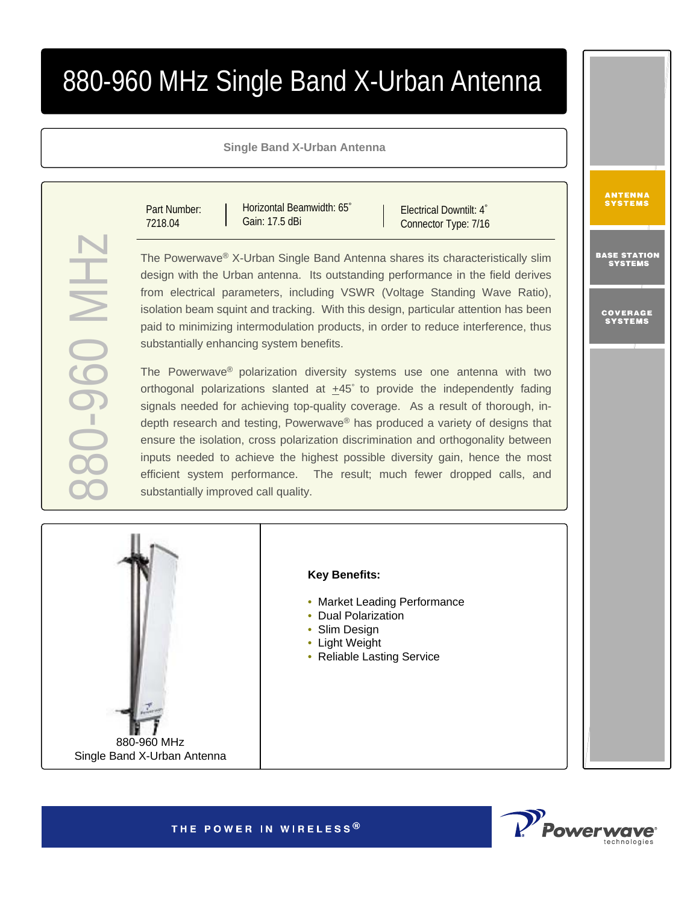# 880-960 MHz Single Band X-Urban Antenna

## **Single Band X-Urban Antenna**

Part Number: 7218.04

880-960 MHz

**HIM 0-56-0%** 

Horizontal Beamwidth: 65° Gain: 17.5 dBi

Electrical Downtilt: 4° Connector Type: 7/16

The Powerwave ® X-Urban Single Band Antenna shares its characteristically slim design with the Urban antenna. Its outstanding performance in the field derives from electrical parameters, including VSWR (Voltage Standing Wave Ratio), isolation beam squint and tracking. With this design, particular attention has been paid to minimizing intermodulation products, in order to reduce interference, thus substantially enhancing system benefits.

The Powerwave ® polarization diversity systems use one antenna with two orthogonal polarizations slanted at  $+45^\circ$  to provide the independently fading signals needed for achieving top-quality coverage. As a result of thorough, indepth research and testing, Powerwave® has produced a variety of designs that ensure the isolation, cross polarization discrimination and orthogonality between inputs needed to achieve the highest possible diversity gain, hence the most efficient system performance. The result; much fewer dropped calls, and substantially improved call quality.



# **Key Benefits:**

- Market Leading Performance
- Dual Polarization
- Slim Design
- Light Weight
- Reliable Lasting Service



THE POWER IN WIRELESS®